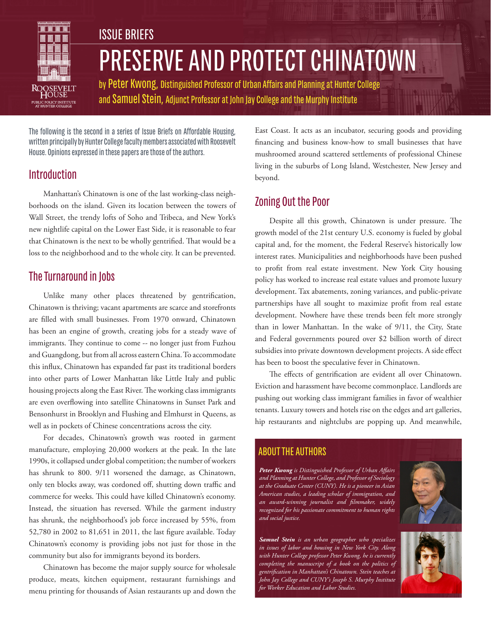

# PRESERVE AND PROTECT CHINATOWN ISSUE BRIEFS

by Peter Kwong, Distinguished Professor of Urban Affairs and Planning at Hunter College and Samuel Stein, Adjunct Professor at John Jay College and the Murphy Institute

The following is the second in a series of Issue Briefs on Affordable Housing, written principally by Hunter College faculty members associated with Roosevelt House. Opinions expressed in these papers are those of the authors.

## Introduction

Manhattan's Chinatown is one of the last working-class neighborhoods on the island. Given its location between the towers of Wall Street, the trendy lofts of Soho and Tribeca, and New York's new nightlife capital on the Lower East Side, it is reasonable to fear that Chinatown is the next to be wholly gentrified. That would be a loss to the neighborhood and to the whole city. It can be prevented.

# The Turnaround in Jobs

Unlike many other places threatened by gentrification, Chinatown is thriving; vacant apartments are scarce and storefronts are filled with small businesses. From 1970 onward, Chinatown has been an engine of growth, creating jobs for a steady wave of immigrants. They continue to come -- no longer just from Fuzhou and Guangdong, but from all across eastern China. To accommodate this influx, Chinatown has expanded far past its traditional borders into other parts of Lower Manhattan like Little Italy and public housing projects along the East River. The working class immigrants are even overflowing into satellite Chinatowns in Sunset Park and Bensonhurst in Brooklyn and Flushing and Elmhurst in Queens, as well as in pockets of Chinese concentrations across the city.

For decades, Chinatown's growth was rooted in garment manufacture, employing 20,000 workers at the peak. In the late 1990s, it collapsed under global competition; the number of workers has shrunk to 800. 9/11 worsened the damage, as Chinatown, only ten blocks away, was cordoned off, shutting down traffic and commerce for weeks. This could have killed Chinatown's economy. Instead, the situation has reversed. While the garment industry has shrunk, the neighborhood's job force increased by 55%, from 52,780 in 2002 to 81,651 in 2011, the last figure available. Today Chinatown's economy is providing jobs not just for those in the community but also for immigrants beyond its borders.

Chinatown has become the major supply source for wholesale produce, meats, kitchen equipment, restaurant furnishings and menu printing for thousands of Asian restaurants up and down the East Coast. It acts as an incubator, securing goods and providing financing and business know-how to small businesses that have mushroomed around scattered settlements of professional Chinese living in the suburbs of Long Island, Westchester, New Jersey and beyond.

# Zoning Out the Poor

Despite all this growth, Chinatown is under pressure. The growth model of the 21st century U.S. economy is fueled by global capital and, for the moment, the Federal Reserve's historically low interest rates. Municipalities and neighborhoods have been pushed to profit from real estate investment. New York City housing policy has worked to increase real estate values and promote luxury development. Tax abatements, zoning variances, and public-private partnerships have all sought to maximize profit from real estate development. Nowhere have these trends been felt more strongly than in lower Manhattan. In the wake of 9/11, the City, State and Federal governments poured over \$2 billion worth of direct subsidies into private downtown development projects. A side effect has been to boost the speculative fever in Chinatown.

The effects of gentrification are evident all over Chinatown. Eviction and harassment have become commonplace. Landlords are pushing out working class immigrant families in favor of wealthier tenants. Luxury towers and hotels rise on the edges and art galleries, hip restaurants and nightclubs are popping up. And meanwhile,

## ABOUT THE AUTHORS

*Peter Kwong is Distinguished Professor of Urban Affairs and Planning at Hunter College, and Professor of Sociology at the Graduate Center (CUNY). He is a pioneer in Asian American studies, a leading scholar of immigration, and an award-winning journalist and filmmaker, widely recognized for his passionate commitment to human rights and social justice.* 



*Samuel Stein is an urban geographer who specializes in issues of labor and housing in New York City. Along with Hunter College professor Peter Kwong, he is currently completing the manuscript of a book on the politics of gentrification in Manhattan's Chinatown. Stein teaches at John Jay College and CUNY's Joseph S. Murphy Institute for Worker Education and Labor Studies.*

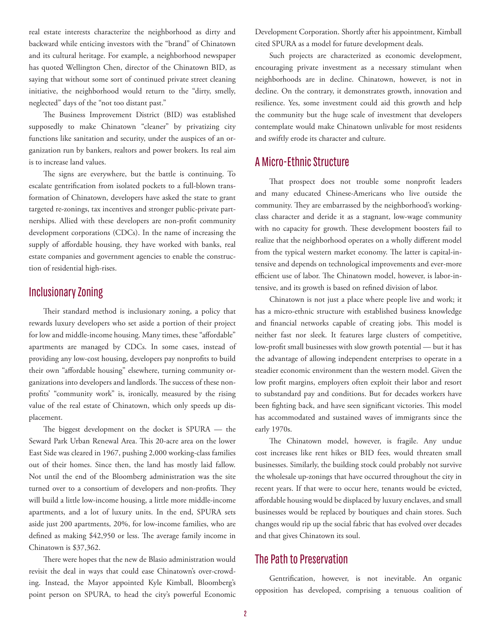real estate interests characterize the neighborhood as dirty and backward while enticing investors with the "brand" of Chinatown and its cultural heritage. For example, a neighborhood newspaper has quoted Wellington Chen, director of the Chinatown BID, as saying that without some sort of continued private street cleaning initiative, the neighborhood would return to the "dirty, smelly, neglected" days of the "not too distant past."

The Business Improvement District (BID) was established supposedly to make Chinatown "cleaner" by privatizing city functions like sanitation and security, under the auspices of an organization run by bankers, realtors and power brokers. Its real aim is to increase land values.

The signs are everywhere, but the battle is continuing. To escalate gentrification from isolated pockets to a full-blown transformation of Chinatown, developers have asked the state to grant targeted re-zonings, tax incentives and stronger public-private partnerships. Allied with these developers are non-profit community development corporations (CDCs). In the name of increasing the supply of affordable housing, they have worked with banks, real estate companies and government agencies to enable the construction of residential high-rises.

### Inclusionary Zoning

Their standard method is inclusionary zoning, a policy that rewards luxury developers who set aside a portion of their project for low and middle-income housing. Many times, these "affordable" apartments are managed by CDCs. In some cases, instead of providing any low-cost housing, developers pay nonprofits to build their own "affordable housing" elsewhere, turning community organizations into developers and landlords. The success of these nonprofits' "community work" is, ironically, measured by the rising value of the real estate of Chinatown, which only speeds up displacement.

The biggest development on the docket is SPURA — the Seward Park Urban Renewal Area. This 20-acre area on the lower East Side was cleared in 1967, pushing 2,000 working-class families out of their homes. Since then, the land has mostly laid fallow. Not until the end of the Bloomberg administration was the site turned over to a consortium of developers and non-profits. They will build a little low-income housing, a little more middle-income apartments, and a lot of luxury units. In the end, SPURA sets aside just 200 apartments, 20%, for low-income families, who are defined as making \$42,950 or less. The average family income in Chinatown is \$37,362.

There were hopes that the new de Blasio administration would revisit the deal in ways that could ease Chinatown's over-crowding. Instead, the Mayor appointed Kyle Kimball, Bloomberg's point person on SPURA, to head the city's powerful Economic Development Corporation. Shortly after his appointment, Kimball cited SPURA as a model for future development deals.

Such projects are characterized as economic development, encouraging private investment as a necessary stimulant when neighborhoods are in decline. Chinatown, however, is not in decline. On the contrary, it demonstrates growth, innovation and resilience. Yes, some investment could aid this growth and help the community but the huge scale of investment that developers contemplate would make Chinatown unlivable for most residents and swiftly erode its character and culture.

## A Micro-Ethnic Structure

That prospect does not trouble some nonprofit leaders and many educated Chinese-Americans who live outside the community. They are embarrassed by the neighborhood's workingclass character and deride it as a stagnant, low-wage community with no capacity for growth. These development boosters fail to realize that the neighborhood operates on a wholly different model from the typical western market economy. The latter is capital-intensive and depends on technological improvements and ever-more efficient use of labor. The Chinatown model, however, is labor-intensive, and its growth is based on refined division of labor.

Chinatown is not just a place where people live and work; it has a micro-ethnic structure with established business knowledge and financial networks capable of creating jobs. This model is neither fast nor sleek. It features large clusters of competitive, low-profit small businesses with slow growth potential — but it has the advantage of allowing independent enterprises to operate in a steadier economic environment than the western model. Given the low profit margins, employers often exploit their labor and resort to substandard pay and conditions. But for decades workers have been fighting back, and have seen significant victories. This model has accommodated and sustained waves of immigrants since the early 1970s.

The Chinatown model, however, is fragile. Any undue cost increases like rent hikes or BID fees, would threaten small businesses. Similarly, the building stock could probably not survive the wholesale up-zonings that have occurred throughout the city in recent years. If that were to occur here, tenants would be evicted, affordable housing would be displaced by luxury enclaves, and small businesses would be replaced by boutiques and chain stores. Such changes would rip up the social fabric that has evolved over decades and that gives Chinatown its soul.

#### The Path to Preservation

Gentrification, however, is not inevitable. An organic opposition has developed, comprising a tenuous coalition of